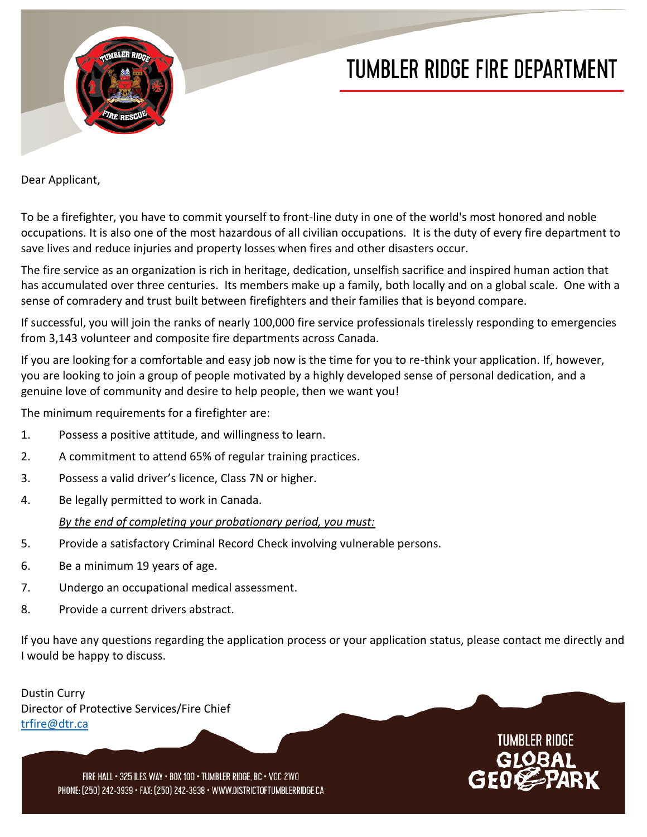

## **TUMBLER RIDGE FIRE DEPARTMENT**

Dear Applicant,

save lives and reduce injuries and property losses when fires and other disasters occur. occupations. It is also one of the most hazardous of all civilian occupations. It is the duty of every fire department to To be a firefighter, you have to commit yourself to front-line duty in one of the world's most honored and noble

 has accumulated over three centuries. Its members make up a family, both locally and on a global scale. One with a sense of comradery and trust built between firefighters and their families that is beyond compare. The fire service as an organization is rich in heritage, dedication, unselfish sacrifice and inspired human action that

from 3,143 volunteer and composite fire departments across Canada. If successful, you will join the ranks of nearly 100,000 fire service professionals tirelessly responding to emergencies

genuine love of community and desire to help people, then we want you! you are looking to join a group of people motivated by a highly developed sense of personal dedication, and a If you are looking for a comfortable and easy job now is the time for you to re-think your application. If, however,

The minimum requirements for a firefighter are:

- 1. Possess a positive attitude, and willingness to learn.
- 2. A commitment to attend 65% of regular training practices.
- 3. Possess a valid driver's licence, Class 7N or higher.
- 4. Be legally permitted to work in Canada.

## *By the end of completing your probationary period, you must:*

- 5. Provide a satisfactory Criminal Record Check involving vulnerable persons.
- 6. Be a minimum 19 years of age.
- 7. Undergo an occupational medical assessment.
- 8. Provide a current drivers abstract.

If you have any questions regarding the application process or your application status, please contact me directly and I would be happy to discuss.

Dustin Curry Director of Protective Services/Fire Chief [trfire@dtr.ca](mailto:trfire@dtr.ca)



FIRE HALL · 325 ILES WAY · BOX 100 · TUMBLER RIDGE, BC · VOC 2WO PHONE: [250] 242-3939 · FAX: [250] 242-3938 · WWW.DISTRICTOFTUMBLERRIDGE.CA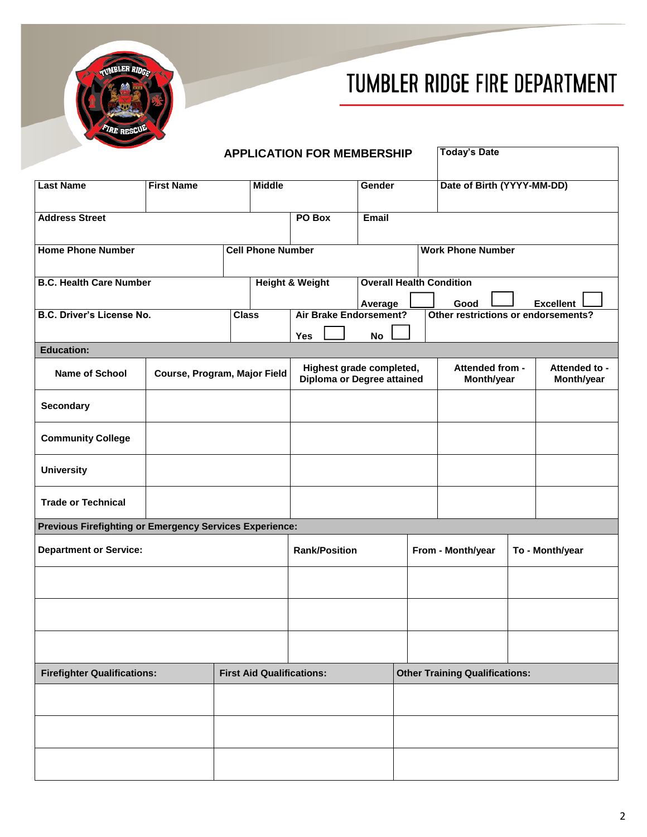



|                                                         | <b>APPLICATION FOR MEMBERSHIP</b> |                          |                                  |                                                        | <b>Today's Date</b> |                                       |                                     |                               |                             |  |  |
|---------------------------------------------------------|-----------------------------------|--------------------------|----------------------------------|--------------------------------------------------------|---------------------|---------------------------------------|-------------------------------------|-------------------------------|-----------------------------|--|--|
| <b>Last Name</b>                                        | <b>First Name</b>                 |                          | <b>Middle</b>                    |                                                        | Gender              |                                       | Date of Birth (YYYY-MM-DD)          |                               |                             |  |  |
|                                                         |                                   |                          |                                  |                                                        |                     |                                       |                                     |                               |                             |  |  |
| <b>Address Street</b>                                   |                                   |                          |                                  | PO Box                                                 | Email               |                                       |                                     |                               |                             |  |  |
| <b>Home Phone Number</b>                                |                                   | <b>Cell Phone Number</b> |                                  |                                                        |                     | <b>Work Phone Number</b>              |                                     |                               |                             |  |  |
| <b>B.C. Health Care Number</b>                          |                                   |                          |                                  | <b>Height &amp; Weight</b>                             |                     |                                       | <b>Overall Health Condition</b>     |                               |                             |  |  |
|                                                         |                                   |                          |                                  |                                                        | Average             |                                       | Good                                |                               | <b>Excellent</b>            |  |  |
| <b>B.C. Driver's License No.</b>                        |                                   | <b>Class</b>             |                                  | <b>Air Brake Endorsement?</b>                          |                     |                                       | Other restrictions or endorsements? |                               |                             |  |  |
|                                                         |                                   |                          |                                  | Yes                                                    | No                  |                                       |                                     |                               |                             |  |  |
| <b>Education:</b>                                       |                                   |                          |                                  |                                                        |                     |                                       |                                     |                               |                             |  |  |
| <b>Name of School</b>                                   | Course, Program, Major Field      |                          |                                  | Highest grade completed,<br>Diploma or Degree attained |                     |                                       |                                     | Attended from -<br>Month/year | Attended to -<br>Month/year |  |  |
| <b>Secondary</b>                                        |                                   |                          |                                  |                                                        |                     |                                       |                                     |                               |                             |  |  |
| <b>Community College</b>                                |                                   |                          |                                  |                                                        |                     |                                       |                                     |                               |                             |  |  |
| <b>University</b>                                       |                                   |                          |                                  |                                                        |                     |                                       |                                     |                               |                             |  |  |
| <b>Trade or Technical</b>                               |                                   |                          |                                  |                                                        |                     |                                       |                                     |                               |                             |  |  |
| Previous Firefighting or Emergency Services Experience: |                                   |                          |                                  |                                                        |                     |                                       |                                     |                               |                             |  |  |
| <b>Department or Service:</b>                           |                                   |                          | <b>Rank/Position</b>             |                                                        | From - Month/year   |                                       |                                     | To - Month/year               |                             |  |  |
|                                                         |                                   |                          |                                  |                                                        |                     |                                       |                                     |                               |                             |  |  |
|                                                         |                                   |                          |                                  |                                                        |                     |                                       |                                     |                               |                             |  |  |
|                                                         |                                   |                          |                                  |                                                        |                     |                                       |                                     |                               |                             |  |  |
| <b>Firefighter Qualifications:</b>                      |                                   |                          | <b>First Aid Qualifications:</b> |                                                        |                     | <b>Other Training Qualifications:</b> |                                     |                               |                             |  |  |
|                                                         |                                   |                          |                                  |                                                        |                     |                                       |                                     |                               |                             |  |  |
|                                                         |                                   |                          |                                  |                                                        |                     |                                       |                                     |                               |                             |  |  |
|                                                         |                                   |                          |                                  |                                                        |                     |                                       |                                     |                               |                             |  |  |